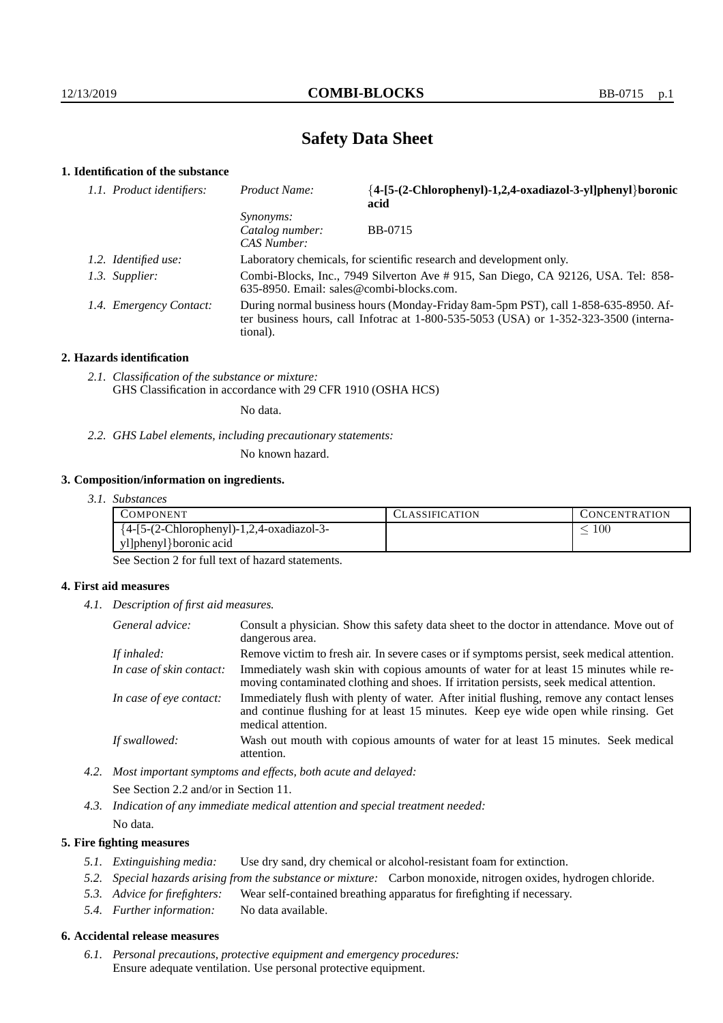## **Safety Data Sheet**

## **1. Identification of the substance**

| 1.1. Product identifiers: | <b>Product Name:</b>                               | {4-[5-(2-Chlorophenyl)-1,2,4-oxadiazol-3-yl]phenyl}boronic<br>acid                                                                                                              |
|---------------------------|----------------------------------------------------|---------------------------------------------------------------------------------------------------------------------------------------------------------------------------------|
|                           | <i>Synonyms:</i><br>Catalog number:<br>CAS Number: | <b>BB-0715</b>                                                                                                                                                                  |
| 1.2. Identified use:      |                                                    | Laboratory chemicals, for scientific research and development only.                                                                                                             |
| 1.3. Supplier:            | $635-8950$ . Email: sales@combi-blocks.com.        | Combi-Blocks, Inc., 7949 Silverton Ave # 915, San Diego, CA 92126, USA. Tel: 858-                                                                                               |
| 1.4. Emergency Contact:   | tional).                                           | During normal business hours (Monday-Friday 8am-5pm PST), call 1-858-635-8950. Af-<br>ter business hours, call Infotrac at $1-800-535-5053$ (USA) or $1-352-323-3500$ (interna- |

#### **2. Hazards identification**

*2.1. Classification of the substance or mixture:* GHS Classification in accordance with 29 CFR 1910 (OSHA HCS)

No data.

## *2.2. GHS Label elements, including precautionary statements:*

No known hazard.

#### **3. Composition/information on ingredients.**

*3.1. Substances*

| COMPONENT                                  | <b>ASSIFICATION</b> | CONCENTRATION |
|--------------------------------------------|---------------------|---------------|
| ${4-[5-(2-Chloropheny]-1,2,4-oxadiazol-3-$ |                     | $100 -$       |
| yl]phenyl}boronic acid                     |                     |               |

See Section 2 for full text of hazard statements.

### **4. First aid measures**

*4.1. Description of first aid measures.*

| General advice:          | Consult a physician. Show this safety data sheet to the doctor in attendance. Move out of<br>dangerous area.                                                                                            |
|--------------------------|---------------------------------------------------------------------------------------------------------------------------------------------------------------------------------------------------------|
| If inhaled:              | Remove victim to fresh air. In severe cases or if symptoms persist, seek medical attention.                                                                                                             |
| In case of skin contact: | Immediately wash skin with copious amounts of water for at least 15 minutes while re-<br>moving contaminated clothing and shoes. If irritation persists, seek medical attention.                        |
| In case of eye contact:  | Immediately flush with plenty of water. After initial flushing, remove any contact lenses<br>and continue flushing for at least 15 minutes. Keep eye wide open while rinsing. Get<br>medical attention. |
| If swallowed:            | Wash out mouth with copious amounts of water for at least 15 minutes. Seek medical<br>attention.                                                                                                        |

*4.2. Most important symptoms and effects, both acute and delayed:* See Section 2.2 and/or in Section 11.

*4.3. Indication of any immediate medical attention and special treatment needed:* No data.

### **5. Fire fighting measures**

- *5.1. Extinguishing media:* Use dry sand, dry chemical or alcohol-resistant foam for extinction.
- *5.2. Special hazards arising from the substance or mixture:* Carbon monoxide, nitrogen oxides, hydrogen chloride.
- *5.3. Advice for firefighters:* Wear self-contained breathing apparatus for firefighting if necessary.
- *5.4. Further information:* No data available.

## **6. Accidental release measures**

*6.1. Personal precautions, protective equipment and emergency procedures:* Ensure adequate ventilation. Use personal protective equipment.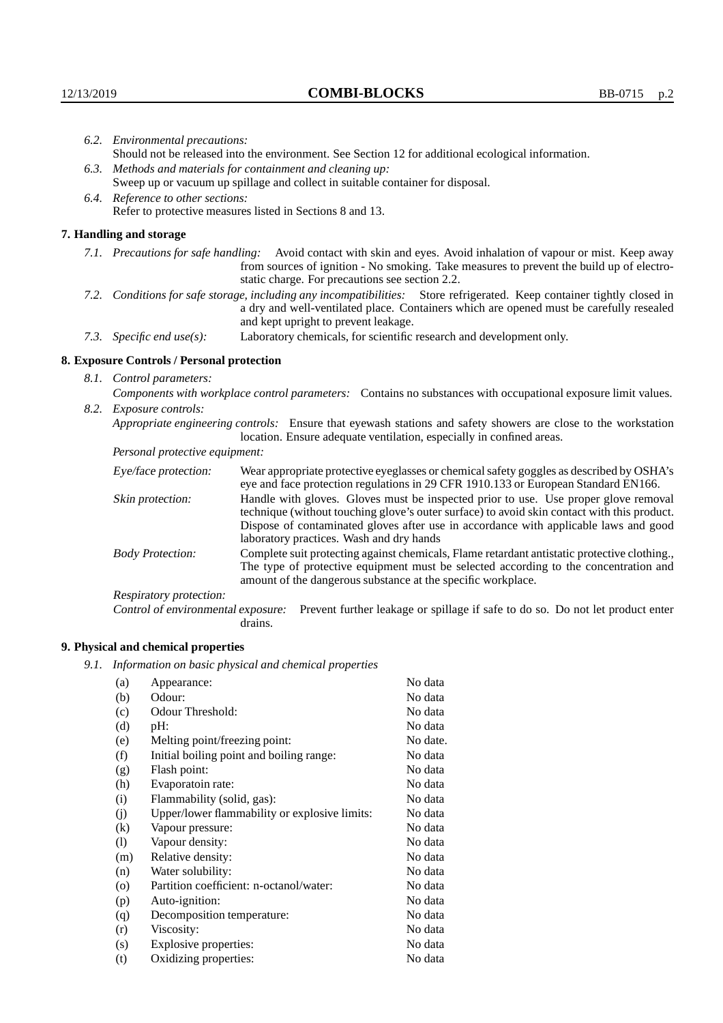|                                                                                                                                           | 6.2. Environmental precautions:                                                                               |                                                                                                                                                                                                                                                                    |  |
|-------------------------------------------------------------------------------------------------------------------------------------------|---------------------------------------------------------------------------------------------------------------|--------------------------------------------------------------------------------------------------------------------------------------------------------------------------------------------------------------------------------------------------------------------|--|
|                                                                                                                                           | Should not be released into the environment. See Section 12 for additional ecological information.            |                                                                                                                                                                                                                                                                    |  |
| 6.3. Methods and materials for containment and cleaning up:                                                                               |                                                                                                               |                                                                                                                                                                                                                                                                    |  |
|                                                                                                                                           | Sweep up or vacuum up spillage and collect in suitable container for disposal.                                |                                                                                                                                                                                                                                                                    |  |
| 6.4. Reference to other sections:                                                                                                         |                                                                                                               |                                                                                                                                                                                                                                                                    |  |
| Refer to protective measures listed in Sections 8 and 13.                                                                                 |                                                                                                               |                                                                                                                                                                                                                                                                    |  |
|                                                                                                                                           | 7. Handling and storage                                                                                       |                                                                                                                                                                                                                                                                    |  |
|                                                                                                                                           |                                                                                                               | 7.1. Precautions for safe handling: Avoid contact with skin and eyes. Avoid inhalation of vapour or mist. Keep away<br>from sources of ignition - No smoking. Take measures to prevent the build up of electro-<br>static charge. For precautions see section 2.2. |  |
|                                                                                                                                           |                                                                                                               | 7.2. Conditions for safe storage, including any incompatibilities: Store refrigerated. Keep container tightly closed in<br>a dry and well-ventilated place. Containers which are opened must be carefully resealed<br>and kept upright to prevent leakage.         |  |
|                                                                                                                                           | 7.3. Specific end use(s):                                                                                     | Laboratory chemicals, for scientific research and development only.                                                                                                                                                                                                |  |
|                                                                                                                                           | 8. Exposure Controls / Personal protection                                                                    |                                                                                                                                                                                                                                                                    |  |
|                                                                                                                                           | 8.1. Control parameters:                                                                                      |                                                                                                                                                                                                                                                                    |  |
|                                                                                                                                           | Components with workplace control parameters: Contains no substances with occupational exposure limit values. |                                                                                                                                                                                                                                                                    |  |
| 8.2. Exposure controls:<br>Appropriate engineering controls: Ensure that eyewash stations and safety showers are close to the workstation |                                                                                                               |                                                                                                                                                                                                                                                                    |  |
|                                                                                                                                           |                                                                                                               | location. Ensure adequate ventilation, especially in confined areas.                                                                                                                                                                                               |  |
|                                                                                                                                           | Personal protective equipment:                                                                                |                                                                                                                                                                                                                                                                    |  |
|                                                                                                                                           | Eye/face protection:                                                                                          | Wear appropriate protective eyeglasses or chemical safety goggles as described by OSHA's<br>eye and face protection regulations in 29 CFR 1910.133 or European Standard EN166.                                                                                     |  |
|                                                                                                                                           | Skin protection:                                                                                              | Handle with gloves. Gloves must be inspected prior to use. Use proper glove removal<br>technique (without touching glove's outer surface) to avoid skin contact with this product.                                                                                 |  |

## **8. Exposure Controls / Personal protection**

| Eye/face protection:               | Wear appropriate protective eyeglasses or chemical safety goggles as described by OSHA's<br>eye and face protection regulations in 29 CFR 1910.133 or European Standard EN166.                                                                                                                                         |  |
|------------------------------------|------------------------------------------------------------------------------------------------------------------------------------------------------------------------------------------------------------------------------------------------------------------------------------------------------------------------|--|
| Skin protection:                   | Handle with gloves. Gloves must be inspected prior to use. Use proper glove removal<br>technique (without touching glove's outer surface) to avoid skin contact with this product.<br>Dispose of contaminated gloves after use in accordance with applicable laws and good<br>laboratory practices. Wash and dry hands |  |
| <b>Body Protection:</b>            | Complete suit protecting against chemicals, Flame retardant antistatic protective clothing.,<br>The type of protective equipment must be selected according to the concentration and<br>amount of the dangerous substance at the specific workplace.                                                                   |  |
| Respiratory protection:            |                                                                                                                                                                                                                                                                                                                        |  |
| Control of environmental exposure: | Prevent further leakage or spillage if safe to do so. Do not let product enter<br>drains.                                                                                                                                                                                                                              |  |

# **9. Physical and chemical properties**

*9.1. Information on basic physical and chemical properties*

| (a)                        | Appearance:                                   | No data  |
|----------------------------|-----------------------------------------------|----------|
| (b)                        | Odour:                                        | No data  |
| (c)                        | Odour Threshold:                              | No data  |
| (d)                        | pH:                                           | No data  |
| (e)                        | Melting point/freezing point:                 | No date. |
| (f)                        | Initial boiling point and boiling range:      | No data  |
| (g)                        | Flash point:                                  | No data  |
| (h)                        | Evaporatoin rate:                             | No data  |
| (i)                        | Flammability (solid, gas):                    | No data  |
| (j)                        | Upper/lower flammability or explosive limits: | No data  |
| $\left( k\right)$          | Vapour pressure:                              | No data  |
| $\left( \mathrm{l}\right)$ | Vapour density:                               | No data  |
| (m)                        | Relative density:                             | No data  |
| (n)                        | Water solubility:                             | No data  |
| $\circ$                    | Partition coefficient: n-octanol/water:       | No data  |
| (p)                        | Auto-ignition:                                | No data  |
| (q)                        | Decomposition temperature:                    | No data  |
| (r)                        | Viscosity:                                    | No data  |
| (s)                        | Explosive properties:                         | No data  |
| (t)                        | Oxidizing properties:                         | No data  |